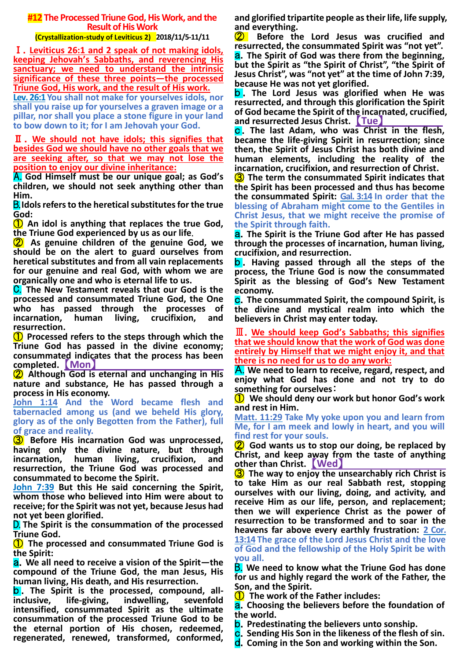# **#12 The Processed Triune God, His Work, and the Result of His Work**

# **(Crystallization-study of Leviticus 2) 2018/11/5-11/11**

Ⅰ.**Leviticus 26:1 and 2 speak of not making idols, keeping Jehovah's Sabbaths, and reverencing His sanctuary; we need to understand the intrinsic significance of these three points—the processed Triune God, His work, and the result of His work.**

**Lev. 26:1 You shall not make for yourselves idols, nor shall you raise up for yourselves a graven image or a pillar, nor shall you place a stone figure in your land to bow down to it; for I am Jehovah your God.**

Ⅱ.**We should not have idols; this signifies that besides God we should have no other goals that we are seeking after, so that we may not lose the position to enjoy our divine inheritance:**

A. **God Himself must be our unique goal; as God's children, we should not seek anything other than Him.**

B.**Idols refers to the heretical substitutes for the true God:**

① **An idol is anything that replaces the true God, the Triune God experienced by us as our life**.

② **As genuine children of the genuine God, we should be on the alert to guard ourselves from heretical substitutes and from all vain replacements for our genuine and real God, with whom we are organically one and who is eternal life to us.**

C. **The New Testament reveals that our God is the processed and consummated Triune God, the One who has passed through the processes of incarnation, human living, crucifixion, and resurrection.**

① **Processed refers to the steps through which the Triune God has passed in the divine economy; consummated indicates that the process has been completed.** 【**Mon**】

② **Although God is eternal and unchanging in His nature and substance, He has passed through a process in His economy.**

**John 1:14 And the Word became flesh and tabernacled among us (and we beheld His glory, glory as of the only Begotten from the Father), full of grace and reality.**

③ **Before His incarnation God was unprocessed, having only the divine nature, but through incarnation, human living, crucifixion, and resurrection, the Triune God was processed and consummated to become the Spirit.**

**John 7:39 But this He said concerning the Spirit, whom those who believed into Him were about to receive; for the Spirit was not yet, because Jesus had not yet been glorified.**

D. **The Spirit is the consummation of the processed Triune God.**

① **The processed and consummated Triune God is the Spirit:**

a.**We all need to receive a vision of the Spirit—the compound of the Triune God, the man Jesus, His human living, His death, and His resurrection.**

**b**. The Spirit is the processed, compound, all**inclusive, life-giving, indwelling, sevenfold intensified, consummated Spirit as the ultimate consummation of the processed Triune God to be the eternal portion of His chosen, redeemed, regenerated, renewed, transformed, conformed,** 

**and glorified tripartite people as their life, life supply, and everything.**

② **Before the Lord Jesus was crucified and resurrected, the consummated Spirit was "not yet".** a.**The Spirit of God was there from the beginning, but the Spirit as "the Spirit of Christ", "the Spirit of Jesus Christ", was "not yet" at the time of John 7:39, because He was not yet glorified.**

b . **The Lord Jesus was glorified when He was resurrected, and through this glorification the Spirit of God became the Spirit of the incarnated, crucified, and resurrected Jesus Christ.** 【**Tue**】

c .**The last Adam, who was Christ in the flesh, became the life-giving Spirit in resurrection; since then, the Spirit of Jesus Christ has both divine and human elements, including the reality of the incarnation, crucifixion, and resurrection of Christ.**

③ **The term the consummated Spirit indicates that the Spirit has been processed and thus has become the consummated Spirit: Gal. 3:14 In order that the blessing of Abraham might come to the Gentiles in Christ Jesus, that we might receive the promise of the Spirit through faith.**

a.**The Spirit is the Triune God after He has passed through the processes of incarnation, human living, crucifixion, and resurrection.**

b . **Having passed through all the steps of the process, the Triune God is now the consummated Spirit as the blessing of God's New Testament economy.**

c.**The consummated Spirit, the compound Spirit, is the divine and mystical realm into which the believers in Christ may enter today.**

Ⅲ.**We should keep God's Sabbaths; this signifies that we should know that the work of God was done entirely by Himself that we might enjoy it, and that there is no need for us to do any work:**

A. **We need to learn to receive, regard, respect, and enjoy what God has done and not try to do something for ourselves**:

① **We should deny our work but honor God's work and rest in Him.**

**Matt. 11:29 Take My yoke upon you and learn from Me, for I am meek and lowly in heart, and you will find rest for your souls.**

② **God wants us to stop our doing, be replaced by Christ, and keep away from the taste of anything other than Christ.** 【**Wed**】

③ **The way to enjoy the unsearchably rich Christ is to take Him as our real Sabbath rest, stopping ourselves with our living, doing, and activity, and receive Him as our life, person, and replacement; then we will experience Christ as the power of resurrection to be transformed and to soar in the heavens far above every earthly frustration: 2 Cor. 13:14 The grace of the Lord Jesus Christ and the love of God and the fellowship of the Holy Spirit be with you all.**

B. **We need to know what the Triune God has done for us and highly regard the work of the Father, the Son, and the Spirit.**

① **The work of the Father includes:**

a.**Choosing the believers before the foundation of the world.**

b.**Predestinating the believers unto sonship.**

c.**Sending His Son in the likeness of the flesh of sin.**

d.**Coming in the Son and working within the Son.**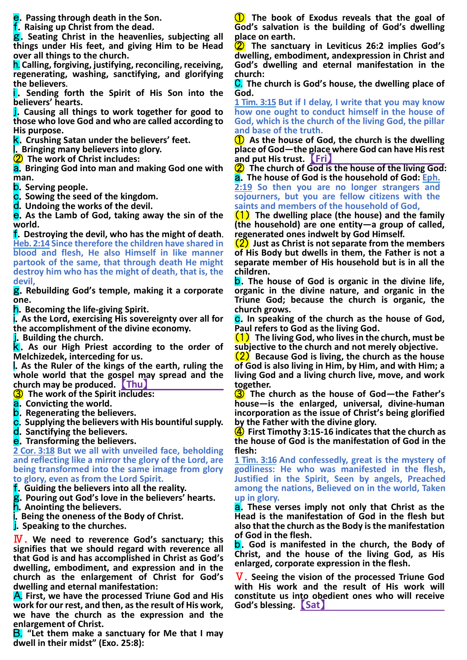e.**Passing through death in the Son.**

f.**Raising up Christ from the dead.**

g.**Seating Christ in the heavenlies, subjecting all things under His feet, and giving Him to be Head over all things to the church.**

h. **Calling, forgiving, justifying, reconciling, receiving, regenerating, washing, sanctifying, and glorifying the believers**.

**I**. Sending forth the Spirit of His Son into the **believers' hearts.**

j.**Causing all things to work together for good to those who love God and who are called according to His purpose.**

k.**Crushing Satan under the believers' feet.**

l.**Bringing many believers into glory.**

② **The work of Christ includes:**

a.**Bringing God into man and making God one with man.**

b.**Serving people.**

c.**Sowing the seed of the kingdom.**

d.**Undoing the works of the devil.**

e.**As the Lamb of God, taking away the sin of the world.**

f.**Destroying the devil, who has the might of death**. **Heb. 2:14 Since therefore the children have shared in blood and flesh, He also Himself in like manner partook of the same, that through death He might destroy him who has the might of death, that is, the devil,**

g.**Rebuilding God's temple, making it a corporate one.**

h.**Becoming the life-giving Spirit.**

i.**As the Lord, exercising His sovereignty over all for the accomplishment of the divine economy.**

j.**Building the church.**

k.**As our High Priest according to the order of Melchizedek, interceding for us.**

l.**As the Ruler of the kings of the earth, ruling the whole world that the gospel may spread and the church may be produced.** 【**Thu**】

③ **The work of the Spirit includes:**

- a.**Convicting the world.**
- b.**Regenerating the believers.**

c.**Supplying the believers with His bountiful supply.**

d.**Sanctifying the believers.**

e.**Transforming the believers.**

**2 Cor. 3:18 But we all with unveiled face, beholding and reflecting like a mirror the glory of the Lord, are being transformed into the same image from glory to glory, even as from the Lord Spirit.**

f.**Guiding the believers into all the reality.**

g.**Pouring out God's love in the believers' hearts.**

h.**Anointing the believers.**

i.**Being the oneness of the Body of Christ.**

j.**Speaking to the churches.**

Ⅳ. **We need to reverence God's sanctuary; this signifies that we should regard with reverence all that God is and has accomplished in Christ as God's dwelling, embodiment, and expression and in the church as the enlargement of Christ for God's dwelling and eternal manifestation:**

A. **First, we have the processed Triune God and His work for our rest, and then, as the result of His work, we have the church as the expression and the enlargement of Christ.**

B. **"Let them make a sanctuary for Me that I may dwell in their midst" (Exo. 25:8):**

① **The book of Exodus reveals that the goal of God's salvation is the building of God's dwelling place on earth.**

② **The sanctuary in Leviticus 26:2 implies God's dwelling, embodiment, andexpression in Christ and God's dwelling and eternal manifestation in the church:**

C. **The church is God's house, the dwelling place of God.**

**1 Tim. 3:15 But if I delay, I write that you may know how one ought to conduct himself in the house of God, which is the church of the living God, the pillar and base of the truth.**

① **As the house of God, the church is the dwelling place of God—the place where God can have His rest and put His trust.** 【**Fri**】

② **The church of God is the house of the living God:** a.**The house of God is the household of God: Eph.** 

**2:19 So then you are no longer strangers and sojourners, but you are fellow citizens with the saints and members of the household of God,**

(1) **The dwelling place (the house) and the family (the household) are one entity—a group of called, regenerated ones indwelt by God Himself.**

(2) **Just as Christ is not separate from the members of His Body but dwells in them, the Father is not a separate member of His household but is in all the children.**

b.**The house of God is organic in the divine life, organic in the divine nature, and organic in the Triune God; because the church is organic, the church grows.**

c.**In speaking of the church as the house of God, Paul refers to God as the living God.**

(1) **The living God, who lives in the church, must be subjective to the church and not merely objective.**

(2) **Because God is living, the church as the house of God is also living in Him, by Him, and with Him; a living God and a living church live, move, and work together.**

③ **The church as the house of God—the Father's house—is the enlarged, universal, divine-human incorporation as the issue of Christ's being glorified by the Father with the divine glory.**

④ **First Timothy 3:15-16 indicates that the church as the house of God is the manifestation of God in the flesh:**

**1 Tim. 3:16 And confessedly, great is the mystery of godliness: He who was manifested in the flesh, Justified in the Spirit, Seen by angels, Preached among the nations, Believed on in the world, Taken up in glory.**

a.**These verses imply not only that Christ as the Head is the manifestation of God in the flesh but also that the church as the Body is the manifestation of God in the flesh.**

b.**God is manifested in the church, the Body of Christ, and the house of the living God, as His enlarged, corporate expression in the flesh.**

Ⅴ.**Seeing the vision of the processed Triune God with His work and the result of His work will constitute us into obedient ones who will receive God's blessing.** 【**Sat**】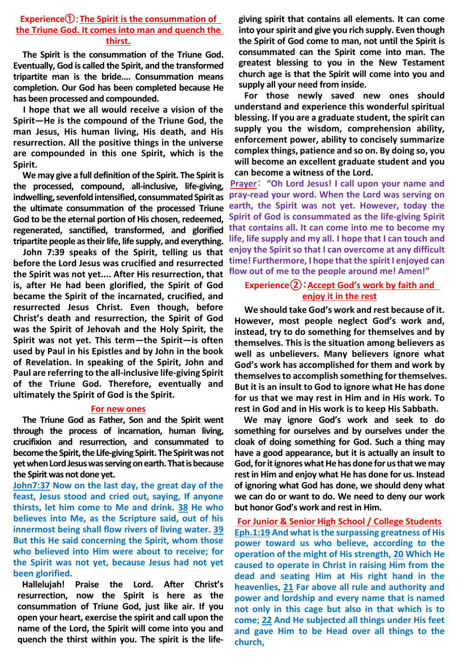### **Experience**①:**The Spirit is the consummation of the Triune God. It comes into man and quench the thirst.**

**The Spirit is the consummation of the Triune God. Eventually, God is called the Spirit, and the transformed tripartite man is the bride.... Consummation means completion. Our God has been completed because He has been processed and compounded.**

**I hope that we all would receive a vision of the Spirit—He is the compound of the Triune God, the man Jesus, His human living, His death, and His resurrection. All the positive things in the universe are compounded in this one Spirit, which is the Spirit.**

**We may give a full definition of the Spirit. The Spirit is the processed, compound, all-inclusive, life-giving, indwelling, sevenfold intensified, consummated Spirit as the ultimate consummation of the processed Triune God to be the eternal portion of His chosen, redeemed, regenerated, sanctified, transformed, and glorified tripartite people as their life, life supply, and everything.**

**John 7:39 speaks of the Spirit, telling us that before the Lord Jesus was crucified and resurrected the Spirit was not yet.... After His resurrection, that is, after He had been glorified, the Spirit of God became the Spirit of the incarnated, crucified, and resurrected Jesus Christ. Even though, before Christ's death and resurrection, the Spirit of God was the Spirit of Jehovah and the Holy Spirit, the Spirit was not yet. This term—the Spirit—is often used by Paul in his Epistles and by John in the book of Revelation. In speaking of the Spirit, John and Paul are referring to the all-inclusive life-giving Spirit of the Triune God. Therefore, eventually and ultimately the Spirit of God is the Spirit.**

#### **For new ones**

**The Triune God as Father, Son and the Spirit went through the process of incarnation, human living, crucifixion and resurrection, and consummated to become the Spirit, the Life-giving Spirit.The Spirit was not yet when Lord Jesus was serving on earth. That is because the Spirit was not done yet.**

**John7:37 Now on the last day, the great day of the feast, Jesus stood and cried out, saying, If anyone thirsts, let him come to Me and drink. 38 He who believes into Me, as the Scripture said, out of his innermost being shall flow rivers of living water. 39 But this He said concerning the Spirit, whom those who believed into Him were about to receive; for the Spirit was not yet, because Jesus had not yet been glorified.**

**Hallelujah! Praise the Lord. After Christ's resurrection, now the Spirit is here as the consummation of Triune God, just like air. If you open your heart, exercise the spirit and call upon the name of the Lord, the Spirit will come into you and quench the thirst within you. The spirit is the life-** **giving spirit that contains all elements. It can come into your spirit and give you rich supply. Even though the Spirit of God come to man, not until the Spirit is consummated can the Spirit come into man. The greatest blessing to you in the New Testament church age is that the Spirit will come into you and supply all your need from inside.**

**For those newly saved new ones should understand and experience this wonderful spiritual blessing. If you are a graduate student, the spirit can supply you the wisdom, comprehension ability, enforcement power, ability to concisely summarize complex things, patience and so on. By doing so, you will become an excellent graduate student and you can become a witness of the Lord.**

**Prayer**: **"Oh Lord Jesus! I call upon your name and pray-read your word. When the Lord was serving on earth, the Spirit was not yet. However, today the Spirit of God is consummated as the life-giving Spirit that contains all. It can come into me to become my life, life supply and my all. I hope that I can touch and enjoy the Spirit so that I can overcome at any difficult time! Furthermore, I hope that the spirit I enjoyed can flow out of me to the people around me! Amen!"**

### **Experience②**:**Accept God's work by faith and enjoy it in the rest**

**We should take God's work and rest because of it. However, most people neglect God's work and, instead, try to do something for themselves and by themselves. This is the situation among believers as well as unbelievers. Many believers ignore what God's work has accomplished for them and work by themselves to accomplish something for themselves. But it is an insult to God to ignore what He has done for us that we may rest in Him and in His work. To rest in God and in His work is to keep His Sabbath.**

**We may ignore God's work and seek to do something for ourselves and by ourselves under the cloak of doing something for God. Such a thing may have a good appearance, but it is actually an insult to God, for it ignores what He has done for us that we may rest in Him and enjoy what He has done for us. Instead of ignoring what God has done, we should deny what we can do or want to do. We need to deny our work but honor God's work and rest in Him.**

**For Junior & Senior High School / College Students Eph.1:19 And what is the surpassing greatness of His power toward us who believe, according to the operation of the might of His strength, 20 Which He caused to operate in Christ in raising Him from the dead and seating Him at His right hand in the heavenlies, 21 Far above all rule and authority and power and lordship and every name that is named not only in this cage but also in that which is to come; 22 And He subjected all things under His feet and gave Him to be Head over all things to the church,**